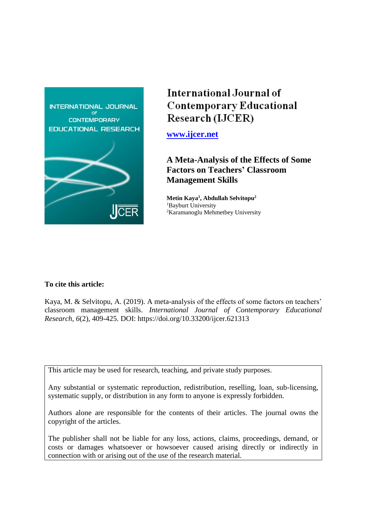

# International Journal of **Contemporary Educational** Research (IJCER)

**[www.ijcer.net](http://www.ijcer.net/)**

**A Meta-Analysis of the Effects of Some Factors on Teachers' Classroom Management Skills**

**Metin Kaya<sup>1</sup> , Abdullah Selvitopu<sup>2</sup>** <sup>1</sup>Bayburt University <sup>2</sup>Karamanoglu Mehmetbey University

# **To cite this article:**

Kaya, M. & Selvitopu, A. (2019). A meta-analysis of the effects of some factors on teachers' classroom management skills. *International Journal of Contemporary Educational Research, 6*(2), 409-425. DOI: https://doi.org/10.33200/ijcer.621313

This article may be used for research, teaching, and private study purposes.

Any substantial or systematic reproduction, redistribution, reselling, loan, sub-licensing, systematic supply, or distribution in any form to anyone is expressly forbidden.

Authors alone are responsible for the contents of their articles. The journal owns the copyright of the articles.

The publisher shall not be liable for any loss, actions, claims, proceedings, demand, or costs or damages whatsoever or howsoever caused arising directly or indirectly in connection with or arising out of the use of the research material.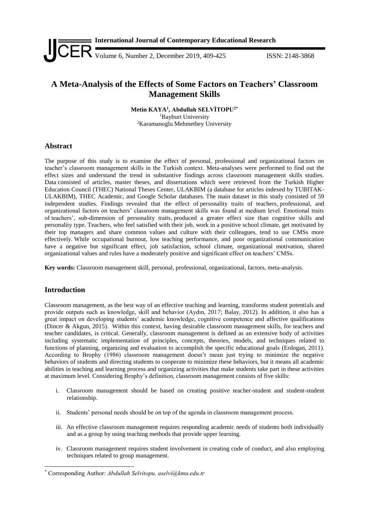

# **A Meta-Analysis of the Effects of Some Factors on Teachers' Classroom Management Skills**

**Metin KAYA<sup>1</sup> , Abdullah SELVİTOPU2\*** <sup>1</sup>Bayburt University <sup>2</sup>Karamanoglu Mehmetbey University

## **Abstract**

The purpose of this study is to examine the effect of personal, professional and organizational factors on teacher's classroom management skills in the Turkish context. Meta-analyses were performed to find out the effect sizes and understand the trend in substantive findings across classroom management skills studies. Data consisted of articles, master theses, and dissertations which were retrieved from the Turkish Higher Education Council (THEC) National Theses Center, ULAKBIM (a database for articles indexed by TUBITAK-ULAKBIM), THEC Academic, and Google Scholar databases. The main dataset in this study consisted of 59 independent studies. Findings revealed that the effect of personality traits of teachers, professional, and organizational factors on teachers' classroom management skills was found at medium level. Emotional traits of teachers', sub-dimension of personality traits, produced a greater effect size than cognitive skills and personality type. Teachers, who feel satisfied with their job, work in a positive school climate, get motivated by their top managers and share common values and culture with their colleagues, tend to use CMSs more effectively. While occupational burnout, low teaching performance, and poor organizational communication have a negative but significant effect, job satisfaction, school climate, organizational motivation, shared organizational values and rules have a moderately positive and significant effect on teachers' CMSs.

**Key words:** Classroom management skill, personal, professional, organizational, factors, meta-analysis.

# **Introduction**

-

Classroom management, as the best way of an effective teaching and learning, transforms student potentials and provide outputs such as knowledge, skill and behavior (Aydın, 2017; Balay, 2012). In addition, it also has a great impact on developing students' academic knowledge, cognitive competence and affective qualifications (Dincer & Akgun, 2015). Within this context, having desirable classroom management skills, for teachers and teacher candidates, is critical. Generally, classroom management is defined as an extensive body of activities including systematic implementation of principles, concepts, theories, models, and techniques related to functions of planning, organizing and evaluation to accomplish the specific educational goals (Erdogan, 2011). According to Brophy (1986) classroom management doesn't mean just trying to minimize the negative behaviors of students and directing students to cooperate to minimize these behaviors, but it means all academic abilities in teaching and learning process and organizing activities that make students take part in these activities at maximum level. Considering Brophy's definition, classroom management consists of five skills:

- i. Classroom management should be based on creating positive teacher-student and student-student relationship.
- ii. Students' personal needs should be on top of the agenda in classroom management process.
- iii. An effective classroom management requires responding academic needs of students both individually and as a group by using teaching methods that provide upper learning.
- iv. Classroom management requires student involvement in creating code of conduct, and also employing techniques related to group management.

<sup>\*</sup> Corresponding Author: *Abdullah Selvitopu, aselvi@kmu.edu.tr*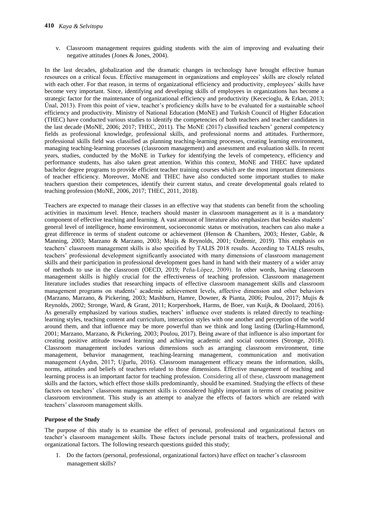v. Classroom management requires guiding students with the aim of improving and evaluating their negative attitudes (Jones & Jones, 2004).

In the last decades, globalization and the dramatic changes in technology have brought effective human resources on a critical focus. Effective management in organizations and employees' skills are closely related with each other. For that reason, in terms of organizational efficiency and productivity, employees' skills have become very important. Since, identifying and developing skills of employees in organizations has become a strategic factor for the maintenance of organizational efficiency and productivity (Kececioglu, & Erkan, 2013; Ünal, 2013). From this point of view, teacher's proficiency skills have to be evaluated for a sustainable school efficiency and productivity. Ministry of National Education (MoNE) and Turkish Council of Higher Education (THEC) have conducted various studies to identify the competencies of both teachers and teacher candidates in the last decade (MoNE, 2006; 2017; THEC, 2011). The MoNE (2017) classified teachers' general competency fields as professional knowledge, professional skills, and professional norms and attitudes. Furthermore, professional skills field was classified as planning teaching-learning processes, creating learning environment, managing teaching-learning processes (classroom management) and assessment and evaluation skills. In recent years, studies, conducted by the MoNE in Turkey for identifying the levels of competency, efficiency and performance students, has also taken great attention. Within this context, MoNE and THEC have updated bachelor degree programs to provide efficient teacher training courses which are the most important dimensions of teacher efficiency. Moreover, MoNE and THEC have also conducted some important studies to make teachers question their competences, identify their current status, and create developmental goals related to teaching profession (MoNE, 2006, 2017; THEC, 2011, 2018).

Teachers are expected to manage their classes in an effective way that students can benefit from the schooling activities in maximum level. Hence, teachers should master in classroom management as it is a mandatory component of effective teaching and learning. A vast amount of literature also emphasizes that besides students' general level of intelligence, home environment, socioeconomic status or motivation, teachers can also make a great difference in terms of student outcome or achievement (Henson & Chambers, 2003; Hester, Gable, & Manning, 2003; Marzano & Marzano, 2003; Muijs & Reynolds, 2001; Ozdemir, 2019). This emphasis on teachers' classroom management skills is also specified by TALIS 2018 results. According to TALIS results, teachers' professional development significantly associated with many dimensions of classroom management skills and their participation in professional development goes hand in hand with their mastery of a wider array of methods to use in the classroom (OECD, 2019; Peña-López, 2009). In other words, having classroom management skills is highly crucial for the effectiveness of teaching profession. Classroom management literature includes studies that researching impacts of effective classroom management skills and classroom management programs on students' academic achievement levels, affective dimension and other behaviors (Marzano, Marzano, & Pickering, 2003; Mashburn, Hamre, Downer, & Pianta, 2006; Poulou, 2017; Mujis & Reynolds, 2002; Stronge, Ward, & Grant, 2011; Korpershoek, Harms, de Boer, van Kuijk, & Doolaard, 2016). As generally emphasized by various studies, teachers' influence over students is related directly to teachinglearning styles, teaching content and curriculum, interaction styles with one another and perception of the world around them, and that influence may be more powerful than we think and long lasting (Darling-Hammond, 2001; Marzano, Marzano, & Pickering, 2003; Poulou, 2017). Being aware of that influence is also important for creating positive attitude toward learning and achieving academic and social outcomes (Stronge, 2018). Classroom management includes various dimensions such as arranging classroom environment, time management, behavior management, teaching-learning management, communication and motivation management (Aydın, 2017; Uğurlu, 2016). Classroom management efficacy means the information, skills, norms, attitudes and beliefs of teachers related to those dimensions. Effective management of teaching and learning process is an important factor for teaching profession. Considering all of these, classroom management skills and the factors, which effect those skills predominantly, should be examined. Studying the effects of these factors on teachers' classroom management skills is considered highly important in terms of creating positive classroom environment. This study is an attempt to analyze the effects of factors which are related with teachers' classroom management skills.

#### **Purpose of the Study**

The purpose of this study is to examine the effect of personal, professional and organizational factors on teacher's classroom management skills. Those factors include personal traits of teachers, professional and organizational factors. The following research questions guided this study;

1. Do the factors (personal, professional, organizational factors) have effect on teacher's classroom management skills?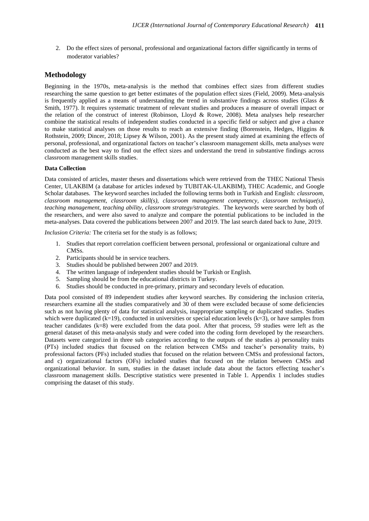2. Do the effect sizes of personal, professional and organizational factors differ significantly in terms of moderator variables?

#### **Methodology**

Beginning in the 1970s, meta-analysis is the method that combines effect sizes from different studies researching the same question to get better estimates of the population effect sizes (Field, 2009). Meta-analysis is frequently applied as a means of understanding the trend in substantive findings across studies (Glass  $\&$ Smith, 1977). It requires systematic treatment of relevant studies and produces a measure of overall impact or the relation of the construct of interest (Robinson, Lloyd & Rowe, 2008). Meta analyses help researcher combine the statistical results of independent studies conducted in a specific field or subject and give a chance to make statistical analyses on those results to reach an extensive finding (Borenstein, Hedges, Higgins & Rothstein, 2009; Dincer, 2018; Lipsey & Wilson, 2001). As the present study aimed at examining the effects of personal, professional, and organizational factors on teacher's classroom management skills, meta analyses were conducted as the best way to find out the effect sizes and understand the trend in substantive findings across classroom management skills studies.

#### **Data Collection**

Data consisted of articles, master theses and dissertations which were retrieved from the THEC National Thesis Center, ULAKBIM (a database for articles indexed by TUBITAK-ULAKBIM), THEC Academic, and Google Scholar databases. The keyword searches included the following terms both in Turkish and English: *classroom, classroom management, classroom skill(s), classroom management competency, classroom technique(s), teaching management, teaching ability, classroom strategy/strategies*. The keywords were searched by both of the researchers, and were also saved to analyze and compare the potential publications to be included in the meta-analyses. Data covered the publications between 2007 and 2019. The last search dated back to June, 2019.

*Inclusion Criteria:* The criteria set for the study is as follows;

- 1. Studies that report correlation coefficient between personal, professional or organizational culture and CMSs.
- 2. Participants should be in service teachers.
- 3. Studies should be published between 2007 and 2019.
- 4. The written language of independent studies should be Turkish or English.
- 5. Sampling should be from the educational districts in Turkey.
- 6. Studies should be conducted in pre-primary, primary and secondary levels of education.

Data pool consisted of 89 independent studies after keyword searches. By considering the inclusion criteria, researchers examine all the studies comparatively and 30 of them were excluded because of some deficiencies such as not having plenty of data for statistical analysis, inappropriate sampling or duplicated studies. Studies which were duplicated ( $k=19$ ), conducted in universities or special education levels ( $k=3$ ), or have samples from teacher candidates (k=8) were excluded from the data pool. After that process, 59 studies were left as the general dataset of this meta-analysis study and were coded into the coding form developed by the researchers. Datasets were categorized in three sub categories according to the outputs of the studies a) personality traits (PTs) included studies that focused on the relation between CMSs and teacher's personality traits, b) professional factors (PFs) included studies that focused on the relation between CMSs and professional factors, and c) organizational factors (OFs) included studies that focused on the relation between CMSs and organizational behavior. In sum, studies in the dataset include data about the factors effecting teacher's classroom management skills. Descriptive statistics were presented in Table 1. Appendix 1 includes studies comprising the dataset of this study.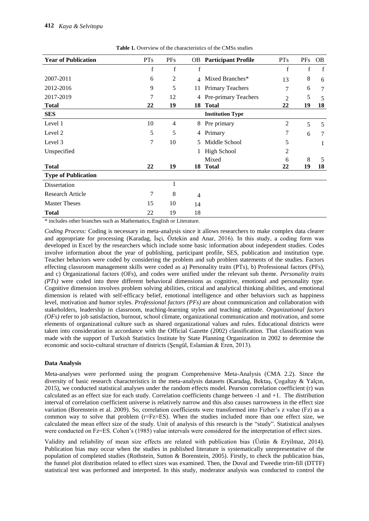| <b>Year of Publication</b> | <b>PTs</b>     | <b>PFs</b>     |                | <b>OB</b> Participant Profile | <b>PTs</b>     | <b>PFs</b> | <b>OB</b>      |
|----------------------------|----------------|----------------|----------------|-------------------------------|----------------|------------|----------------|
|                            | f              | f              | f              |                               | f              | f          | f              |
| 2007-2011                  | 6              | $\overline{c}$ | $\overline{4}$ | Mixed Branches*               | 13             | 8          | 6              |
| 2012-2016                  | 9              | 5              | 11             | <b>Primary Teachers</b>       | 7              | 6          | $\overline{7}$ |
| 2017-2019                  | 7              | 12             | 4              | Pre-primary Teachers          | $\overline{2}$ | 5          | 5              |
| <b>Total</b>               | 22             | 19             | 18             | <b>Total</b>                  | 22             | 19         | 18             |
| <b>SES</b>                 |                |                |                | <b>Institution Type</b>       |                |            |                |
| Level 1                    | 10             | $\overline{4}$ | 8              | Pre primary                   | $\overline{c}$ | 5          | 5              |
| Level 2                    | 5              | 5              | 4              | Primary                       | 7              | 6          | 7              |
| Level 3                    | 7              | 10             | 5              | Middle School                 | 5              |            |                |
| Unspecified                |                |                |                | <b>High School</b>            | 2              |            |                |
|                            |                |                |                | Mixed                         | 6              | 8          | 5              |
| <b>Total</b>               | 22             | 19             | 18             | <b>Total</b>                  | 22             | 19         | 18             |
| <b>Type of Publication</b> |                |                |                |                               |                |            |                |
| Dissertation               |                | 1              |                |                               |                |            |                |
| <b>Research Article</b>    | $\overline{7}$ | 8              | 4              |                               |                |            |                |
| <b>Master Theses</b>       | 15             | 10             | 14             |                               |                |            |                |
| <b>Total</b>               | 22             | 19             | 18             |                               |                |            |                |

Table 1. Overview of the characteristics of the CMSs studies

\* includes other branches such as Mathematics, English or Literature.

*Coding Process:* Coding is necessary in meta-analysis since it allows researchers to make complex data clearer and appropriate for processing (Karadag, İsçi, Öztekin and Anar, 2016). In this study, a coding form was developed in Excel by the researchers which include some basic information about independent studies. Codes involve information about the year of publishing, participant profile, SES, publication and institution type. Teacher behaviors were coded by considering the problem and sub problem statements of the studies. Factors effecting classroom management skills were coded as a) Personality traits (PTs), b) Professional factors (PFs), and c) Organizational factors (OFs), and codes were unified under the relevant sub theme. *Personality traits (PTs)* were coded into three different behavioral dimensions as cognitive, emotional and personality type. Cognitive dimension involves problem solving abilities, critical and analytical thinking abilities, and emotional dimension is related with self-efficacy belief, emotional intelligence and other behaviors such as happiness level, motivation and humor styles. *Professional factors (PFs)* are about communication and collaboration with stakeholders, leadership in classroom, teaching-learning styles and teaching attitude. *Organizational factors (OFs)* refer to job satisfaction, burnout, school climate, organizational communication and motivation, and some elements of organizational culture such as shared organizational values and rules. Educational districts were taken into consideration in accordance with the Official Gazette (2002) classification. That classification was made with the support of Turkish Statistics Institute by State Planning Organization in 2002 to determine the economic and socio-cultural structure of districts (Şengül, Eslamian & Eren, 2013).

#### **Data Analysis**

Meta-analyses were performed using the program Comprehensive Meta-Analysis (CMA 2.2). Since the diversity of basic research characteristics in the meta-analysis datasets (Karadag, Bektaş, Çogaltay & Yalçın, 2015), we conducted statistical analyses under the random effects model. Pearson correlation coefficient (r) was calculated as an effect size for each study. Correlation coefficients change between -1 and +1. The distribution interval of correlation coefficient universe is relatively narrow and this also causes narrowness in the effect size variation (Borenstein et al. 2009). So, correlation coefficients were transformed into Fizher's z value (Fz) as a common way to solve that problem (r=Fz=ES). When the studies included more than one effect size, we calculated the mean effect size of the study. Unit of analysis of this research is the "study". Statistical analyses were conducted on Fz=ES. Cohen's (1985) value intervals were considered for the interpretation of effect sizes.

Validity and reliability of mean size effects are related with publication bias (Üstün & Eryilmaz, 2014). Publication bias may occur when the studies in published literature is systematically unrepresentative of the population of completed studies (Rothstein, Sutton & Borenstein, 2005). Firstly, to check the publication bias, the funnel plot distribution related to effect sizes was examined. Then, the Duval and Tweedie trim-fill (DTTF) statistical test was performed and interpreted. In this study, moderator analysis was conducted to control the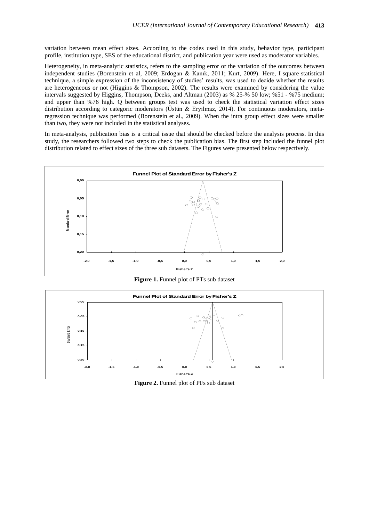variation between mean effect sizes. According to the codes used in this study, behavior type, participant profile, institution type, SES of the educational district, and publication year were used as moderator variables.

Heterogeneity, in meta-analytic statistics, refers to the sampling error or the variation of the outcomes between independent studies (Borenstein et al, 2009; Erdogan & Kanık, 2011; Kurt, 2009). Here, I square statistical technique, a simple expression of the inconsistency of studies' results, was used to decide whether the results are heterogeneous or not (Higgins & Thompson, 2002). The results were examined by considering the value intervals suggested by Higgins, Thompson, Deeks, and Altman (2003) as % 25-% 50 low; %51 - %75 medium; and upper than %76 high. Q between groups test was used to check the statistical variation effect sizes distribution according to categoric moderators (Üstün & Eryılmaz, 2014). For continuous moderators, metaregression technique was performed (Borenstein et al., 2009). When the intra group effect sizes were smaller than two, they were not included in the statistical analyses.

In meta-analysis, publication bias is a critical issue that should be checked before the analysis process. In this study, the researchers followed two steps to check the publication bias. The first step included the funnel plot distribution related to effect sizes of the three sub datasets. The Figures were presented below respectively.



**Figure 1.** Funnel plot of PTs sub dataset



**Figure 2.** Funnel plot of PFs sub dataset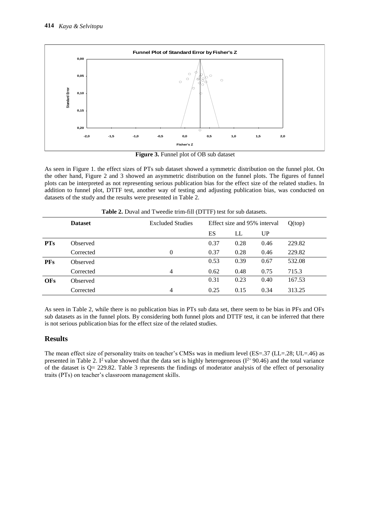

**Figure 3.** Funnel plot of OB sub dataset

As seen in Figure 1. the effect sizes of PTs sub dataset showed a symmetric distribution on the funnel plot. On the other hand, Figure 2 and 3 showed an asymmetric distribution on the funnel plots. The figures of funnel plots can be interpreted as not representing serious publication bias for the effect size of the related studies. In addition to funnel plot, DTTF test, another way of testing and adjusting publication bias, was conducted on datasets of the study and the results were presented in Table 2.

|            | <b>Dataset</b>  | <b>Excluded Studies</b> | Effect size and 95% interval |      | Q(top) |        |
|------------|-----------------|-------------------------|------------------------------|------|--------|--------|
|            |                 |                         | ES                           | LL   | UP     |        |
| <b>PTs</b> | Observed        |                         | 0.37                         | 0.28 | 0.46   | 229.82 |
|            | Corrected       | $\Omega$                | 0.37                         | 0.28 | 0.46   | 229.82 |
| <b>PFs</b> | Observed        |                         | 0.53                         | 0.39 | 0.67   | 532.08 |
|            | Corrected       | $\overline{4}$          | 0.62                         | 0.48 | 0.75   | 715.3  |
| <b>OFs</b> | <b>Observed</b> |                         | 0.31                         | 0.23 | 0.40   | 167.53 |
|            | Corrected       | 4                       | 0.25                         | 0.15 | 0.34   | 313.25 |

**Table 2.** Duval and Tweedie trim-fill (DTTF) test for sub datasets.

As seen in Table 2, while there is no publication bias in PTs sub data set, there seem to be bias in PFs and OFs sub datasets as in the funnel plots. By considering both funnel plots and DTTF test, it can be inferred that there is not serious publication bias for the effect size of the related studies.

# **Results**

The mean effect size of personality traits on teacher's CMSs was in medium level (ES=.37 (LL=.28; UL=.46) as presented in Table 2. I<sup>2</sup> value showed that the data set is highly heterogeneous ( $I^{2}=90.46$ ) and the total variance of the dataset is  $Q = 229.82$ . Table 3 represents the findings of moderator analysis of the effect of personality traits (PTs) on teacher's classroom management skills.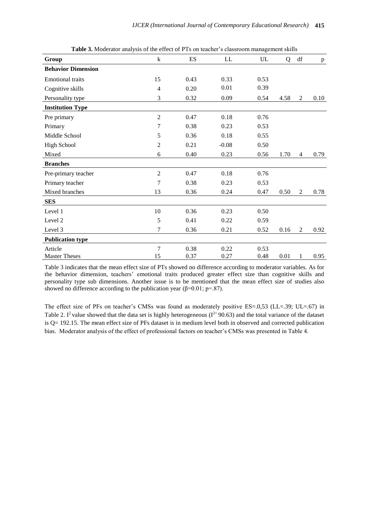| <b>Table 3.</b> MOUCLAOT analysis Of the CHCCCOT TTS On teacher 3 Classroom management skills |                |      |         |      |      |                        |              |  |
|-----------------------------------------------------------------------------------------------|----------------|------|---------|------|------|------------------------|--------------|--|
| Group                                                                                         | $\bf k$        | ES   | LL      | UL   | Q    | $\mathrm{d}\mathrm{f}$ | $\, {\bf p}$ |  |
| <b>Behavior Dimension</b>                                                                     |                |      |         |      |      |                        |              |  |
| <b>Emotional traits</b>                                                                       | 15             | 0.43 | 0.33    | 0.53 |      |                        |              |  |
| Cognitive skills                                                                              | $\overline{4}$ | 0.20 | 0.01    | 0.39 |      |                        |              |  |
| Personality type                                                                              | 3              | 0.32 | 0.09    | 0.54 | 4.58 | $\mathbf{2}$           | 0.10         |  |
| <b>Institution Type</b>                                                                       |                |      |         |      |      |                        |              |  |
| Pre primary                                                                                   | $\overline{2}$ | 0.47 | 0.18    | 0.76 |      |                        |              |  |
| Primary                                                                                       | 7              | 0.38 | 0.23    | 0.53 |      |                        |              |  |
| Middle School                                                                                 | 5              | 0.36 | 0.18    | 0.55 |      |                        |              |  |
| <b>High School</b>                                                                            | $\overline{2}$ | 0.21 | $-0.08$ | 0.50 |      |                        |              |  |
| Mixed                                                                                         | 6              | 0.40 | 0.23    | 0.56 | 1.70 | $\overline{4}$         | 0.79         |  |
| <b>Branches</b>                                                                               |                |      |         |      |      |                        |              |  |
| Pre-primary teacher                                                                           | $\mathfrak{2}$ | 0.47 | 0.18    | 0.76 |      |                        |              |  |
| Primary teacher                                                                               | 7              | 0.38 | 0.23    | 0.53 |      |                        |              |  |
| Mixed branches                                                                                | 13             | 0.36 | 0.24    | 0.47 | 0.50 | $\mathbf{2}$           | 0.78         |  |
| <b>SES</b>                                                                                    |                |      |         |      |      |                        |              |  |
| Level 1                                                                                       | 10             | 0.36 | 0.23    | 0.50 |      |                        |              |  |
| Level <sub>2</sub>                                                                            | 5              | 0.41 | 0.22    | 0.59 |      |                        |              |  |
| Level 3                                                                                       | 7              | 0.36 | 0.21    | 0.52 | 0.16 | 2                      | 0.92         |  |
| <b>Publication type</b>                                                                       |                |      |         |      |      |                        |              |  |
| Article                                                                                       | 7              | 0.38 | 0.22    | 0.53 |      |                        |              |  |
| <b>Master Theses</b>                                                                          | 15             | 0.37 | 0.27    | 0.48 | 0.01 | 1                      | 0.95         |  |

**Table 3.** Moderator analysis of the effect of PTs on teacher's classroom management skills

Table 3 indicates that the mean effect size of PTs showed no difference according to moderator variables. As for the behavior dimension, teachers' emotional traits produced greater effect size than cognitive skills and personality type sub dimensions. Another issue is to be mentioned that the mean effect size of studies also showed no difference according to the publication year ( $\beta$ =0.01; p=.87).

The effect size of PFs on teacher's CMSs was found as moderately positive ES=.0,53 (LL=.39; UL=.67) in Table 2. I<sup>2</sup> value showed that the data set is highly heterogeneous ( $I^{2} = 90.63$ ) and the total variance of the dataset is Q= 192.15. The mean effect size of PFs dataset is in medium level both in observed and corrected publication bias. Moderator analysis of the effect of professional factors on teacher's CMSs was presented in Table 4.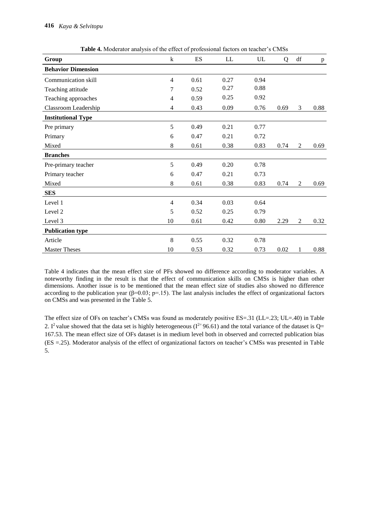| Group                     | $\bf k$        | ES   | LL   | UL   | Q    | df             | $\, {\bf p}$ |
|---------------------------|----------------|------|------|------|------|----------------|--------------|
| <b>Behavior Dimension</b> |                |      |      |      |      |                |              |
| Communication skill       | $\overline{4}$ | 0.61 | 0.27 | 0.94 |      |                |              |
| Teaching attitude         | 7              | 0.52 | 0.27 | 0.88 |      |                |              |
| Teaching approaches       | 4              | 0.59 | 0.25 | 0.92 |      |                |              |
| Classroom Leadership      | 4              | 0.43 | 0.09 | 0.76 | 0.69 | 3              | 0.88         |
| <b>Institutional Type</b> |                |      |      |      |      |                |              |
| Pre primary               | 5              | 0.49 | 0.21 | 0.77 |      |                |              |
| Primary                   | 6              | 0.47 | 0.21 | 0.72 |      |                |              |
| Mixed                     | $8\,$          | 0.61 | 0.38 | 0.83 | 0.74 | $\overline{2}$ | 0.69         |
| <b>Branches</b>           |                |      |      |      |      |                |              |
| Pre-primary teacher       | 5              | 0.49 | 0.20 | 0.78 |      |                |              |
| Primary teacher           | 6              | 0.47 | 0.21 | 0.73 |      |                |              |
| Mixed                     | 8              | 0.61 | 0.38 | 0.83 | 0.74 | 2              | 0.69         |
| <b>SES</b>                |                |      |      |      |      |                |              |
| Level 1                   | $\overline{4}$ | 0.34 | 0.03 | 0.64 |      |                |              |
| Level 2                   | 5              | 0.52 | 0.25 | 0.79 |      |                |              |
| Level 3                   | 10             | 0.61 | 0.42 | 0.80 | 2.29 | $\overline{2}$ | 0.32         |
| <b>Publication type</b>   |                |      |      |      |      |                |              |
| Article                   | 8              | 0.55 | 0.32 | 0.78 |      |                |              |
| <b>Master Theses</b>      | 10             | 0.53 | 0.32 | 0.73 | 0.02 | 1              | 0.88         |

**Table 4.** Moderator analysis of the effect of professional factors on teacher's CMSs

Table 4 indicates that the mean effect size of PFs showed no difference according to moderator variables. A noteworthy finding in the result is that the effect of communication skills on CMSs is higher than other dimensions. Another issue is to be mentioned that the mean effect size of studies also showed no difference according to the publication year (β=0.03; p=.15). The last analysis includes the effect of organizational factors on CMSs and was presented in the Table 5.

The effect size of OFs on teacher's CMSs was found as moderately positive ES=.31 (LL=.23; UL=.40) in Table 2. I<sup>2</sup> value showed that the data set is highly heterogeneous ( $I^{2}$ =96.61) and the total variance of the dataset is Q= 167.53. The mean effect size of OFs dataset is in medium level both in observed and corrected publication bias (ES =.25). Moderator analysis of the effect of organizational factors on teacher's CMSs was presented in Table 5.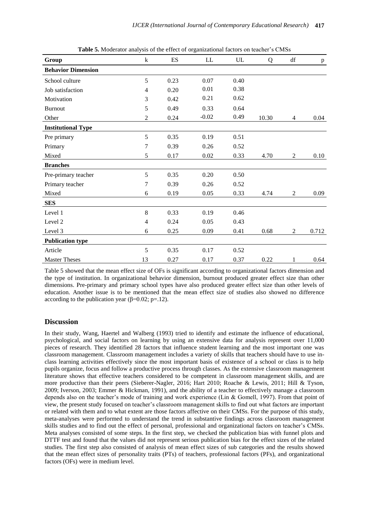| Group                     | $\mathbf{k}$             | ES   | LL      | UL   | Q     | $\mathrm{d}\mathbf{f}$ | $\, {\bf p}$ |
|---------------------------|--------------------------|------|---------|------|-------|------------------------|--------------|
| <b>Behavior Dimension</b> |                          |      |         |      |       |                        |              |
| School culture            | 5                        | 0.23 | 0.07    | 0.40 |       |                        |              |
| Job satisfaction          | $\overline{\mathcal{A}}$ | 0.20 | 0.01    | 0.38 |       |                        |              |
| Motivation                | 3                        | 0.42 | 0.21    | 0.62 |       |                        |              |
| <b>Burnout</b>            | 5                        | 0.49 | 0.33    | 0.64 |       |                        |              |
| Other                     | $\overline{2}$           | 0.24 | $-0.02$ | 0.49 | 10.30 | 4                      | 0.04         |
| <b>Institutional Type</b> |                          |      |         |      |       |                        |              |
| Pre primary               | 5                        | 0.35 | 0.19    | 0.51 |       |                        |              |
| Primary                   | 7                        | 0.39 | 0.26    | 0.52 |       |                        |              |
| Mixed                     | 5                        | 0.17 | 0.02    | 0.33 | 4.70  | $\mathbf{2}$           | 0.10         |
| <b>Branches</b>           |                          |      |         |      |       |                        |              |
| Pre-primary teacher       | 5                        | 0.35 | 0.20    | 0.50 |       |                        |              |
| Primary teacher           | 7                        | 0.39 | 0.26    | 0.52 |       |                        |              |
| Mixed                     | 6                        | 0.19 | 0.05    | 0.33 | 4.74  | $\overline{2}$         | 0.09         |
| <b>SES</b>                |                          |      |         |      |       |                        |              |
| Level 1                   | 8                        | 0.33 | 0.19    | 0.46 |       |                        |              |
| Level 2                   | $\overline{4}$           | 0.24 | 0.05    | 0.43 |       |                        |              |
| Level 3                   | 6                        | 0.25 | 0.09    | 0.41 | 0.68  | $\mathbf{2}$           | 0.712        |
| <b>Publication type</b>   |                          |      |         |      |       |                        |              |
| Article                   | 5                        | 0.35 | 0.17    | 0.52 |       |                        |              |
| <b>Master Theses</b>      | 13                       | 0.27 | 0.17    | 0.37 | 0.22  | 1                      | 0.64         |

**Table 5.** Moderator analysis of the effect of organizational factors on teacher's CMSs

Table 5 showed that the mean effect size of OFs is significant according to organizational factors dimension and the type of institution. In organizational behavior dimension, burnout produced greater effect size than other dimensions. Pre-primary and primary school types have also produced greater effect size than other levels of education. Another issue is to be mentioned that the mean effect size of studies also showed no difference according to the publication year ( $\beta$ =0.02; p=.12).

### **Discussion**

In their study, Wang, Haertel and Walberg (1993) tried to identify and estimate the influence of educational, psychological, and social factors on learning by using an extensive data for analysis represent over 11,000 pieces of research. They identified 28 factors that influence student learning and the most important one was classroom management. Classroom management includes a variety of skills that teachers should have to use inclass learning activities effectively since the most important basis of existence of a school or class is to help pupils organize, focus and follow a productive process through classes. As the extensive classroom management literature shows that effective teachers considered to be competent in classroom management skills, and are more productive than their peers (Sieberer-Nagler, 2016; Hart 2010; Roache & Lewis, 2011; Hill & Tyson, 2009; Iverson, 2003; Emmer & Hickman, 1991), and the ability of a teacher to effectively manage a classroom depends also on the teacher's mode of training and work experience (Lin & Gomell, 1997). From that point of view, the present study focused on teacher's classroom management skills to find out what factors are important or related with them and to what extent are those factors affective on their CMSs. For the purpose of this study, meta-analyses were performed to understand the trend in substantive findings across classroom management skills studies and to find out the effect of personal, professional and organizational factors on teacher's CMSs. Meta analyses consisted of some steps. In the first step, we checked the publication bias with funnel plots and DTTF test and found that the values did not represent serious publication bias for the effect sizes of the related studies. The first step also consisted of analysis of mean effect sizes of sub categories and the results showed that the mean effect sizes of personality traits (PTs) of teachers, professional factors (PFs), and organizational factors (OFs) were in medium level.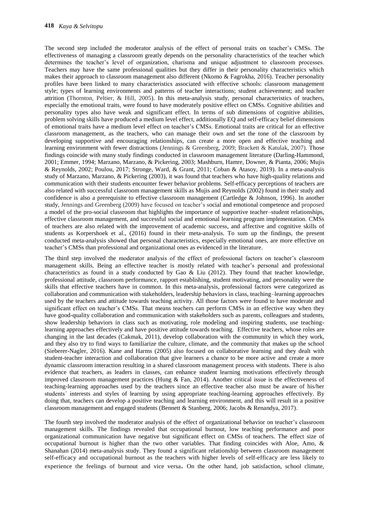The second step included the moderator analysis of the effect of personal traits on teacher's CMSs. The effectiveness of managing a classroom greatly depends on the personality characteristics of the teacher which determines the teacher's level of organization, charisma and unique adjustment to classroom processes. Teachers may have the same professional qualities but they differ in their personality characteristics which makes their approach to classroom management also different (Nkomo & Fagrokha, 2016). Teacher personality profiles have been linked to many characteristics associated with effective schools: classroom management style; types of learning environments and patterns of teacher interactions; student achievement; and teacher attrition (Thornton, Peltier, & Hill, 2005). In this meta-analysis study, personal characteristics of teachers, especially the emotional traits, were found to have moderately positive effect on CMSs. Cognitive abilities and personality types also have weak and significant effect. In terms of sub dimensions of cognitive abilities, problem solving skills have produced a medium level effect, additionally EQ and self-efficacy belief dimensions of emotional traits have a medium level effect on teacher's CMSs. Emotional traits are critical for an effective classroom management, as the teachers, who can manage their own and set the tone of the classroom by developing supportive and encouraging relationships, can create a more open and effective teaching and learning environment with fewer distractions (Jennings & Greenberg, 2009; Brackett & Katulak, 2007). Those findings coincide with many study findings conducted in classroom management literature (Darling-Hammond, 2001; Emmer, 1994; Marzano, Marzano, & Pickering, 2003; Mashburn, Hamre, Downer, & Pianta, 2006; Mujis & Reynolds, 2002; Poulou, 2017; Stronge, Ward, & Grant, 2011; Coban & Atasoy, 2019). In a meta-analysis study of Marzano, Marzano, & Pickering (2003), it was found that teachers who have high-quality relations and communication with their students encounter fewer behavior problems. Self-efficacy perceptions of teachers are also related with successful classroom management skills as Mujis and Reynolds (2002) found in their study and confidence is also a prerequisite to effective classroom management (Cartledge & Johnson, 1996). In another study, Jennings and Greenberg (2009) have focused on teacher's social and emotional competence and proposed a model of the pro-social classroom that highlights the importance of supportive teacher–student relationships, effective classroom management, and successful social and emotional learning program implementation. CMSs of teachers are also related with the improvement of academic success, and affective and cognitive skills of students as Korpershoek et al., (2016) found in their meta-analysis. To sum up the findings, the present conducted meta-analysis showed that personal characteristics, especially emotional ones, are more effective on teacher's CMSs than professional and organizational ones as evidenced in the literature.

The third step involved the moderator analysis of the effect of professional factors on teacher's classroom management skills. Being an effective teacher is mostly related with teacher's personal and professional characteristics as found in a study conducted by Gao  $\&$  Liu (2012). They found that teacher knowledge, professional attitude, classroom performance, rapport establishing, student motivating, and personality were the skills that effective teachers have in common. In this meta-analysis, professional factors were categorized as collaboration and communication with stakeholders, leadership behaviors in class, teaching–learning approaches used by the teachers and attitude towards teaching activity. All those factors were found to have moderate and significant effect on teacher's CMSs. That means teachers can perform CMSs in an effective way when they have good-quality collaboration and communication with stakeholders such as parents, colleagues and students, show leadership behaviors in class such as motivating, role modeling and inspiring students, use teachinglearning approaches effectively and have positive attitude towards teaching. Effective teachers, whose roles are changing in the last decades (Cakmak, 2011), develop collaboration with the community in which they work, and they also try to find ways to familiarize the culture, climate, and the community that makes up the school (Sieberer-Nagler, 2016). Kane and Harms (2005) also focused on collaborative learning and they dealt with student-teacher interaction and collaboration that give learners a chance to be more active and create a more dynamic classroom interaction resulting in a shared classroom management process with students. There is also evidence that teachers, as leaders in classes, can enhance student learning motivations effectively through improved classroom management practices (Hung  $\&$  Fan, 2014). Another critical issue is the effectiveness of teaching-learning approaches used by the teachers since an effective teacher also must be aware of his/her students´ interests and styles of learning by using appropriate teaching-learning approaches effectively. By doing that, teachers can develop a positive teaching and learning environment, and this will result in a positive classroom management and engaged students (Bennett & Stanberg, 2006; Jacobs & Renandya, 2017).

The fourth step involved the moderator analysis of the effect of organizational behavior on teacher's classroom management skills. The findings revealed that occupational burnout, low teaching performance and poor organizational communication have negative but significant effect on CMSs of teachers. The effect size of occupational burnout is higher than the two other variables. That finding coincides with Aloe, Amo, & Shanahan (2014) meta-analysis study. They found a significant relationship between classroom management self-efficacy and occupational burnout as the teachers with higher levels of self-efficacy are less likely to experience the feelings of burnout and vice versa. On the other hand, job satisfaction, school climate,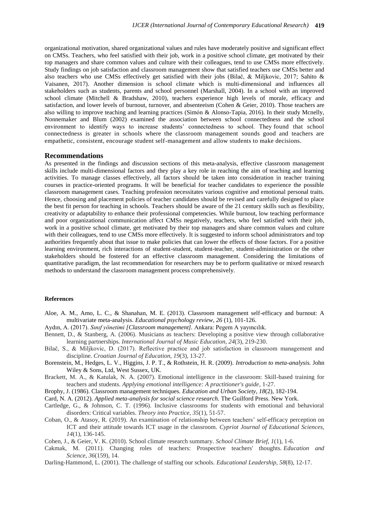organizational motivation, shared organizational values and rules have moderately positive and significant effect on CMSs. Teachers, who feel satisfied with their job, work in a positive school climate, get motivated by their top managers and share common values and culture with their colleagues, tend to use CMSs more effectively. Study findings on job satisfaction and classroom management show that satisfied teachers use CMSs better and also teachers who use CMSs effectively get satisfied with their jobs (Bilač, & Miljkovic, 2017; Sahito & Vaisanen, 2017). Another dimension is school climate which is multi-dimensional and influences all stakeholders such as students, parents and school personnel (Marshall, 2004). In a school with an improved school climate (Mitchell & Bradshaw, 2010), teachers experience high levels of morale, efficacy and satisfaction, and lower levels of burnout, turnover, and absenteeism (Cohen & Geier, 2010). Those teachers are also willing to improve teaching and learning practices (Simón & Alonso-Tapia, 2016). In their study Mcnelly, Nonnemaker and Blum (2002) examined the association between school connectedness and the school environment to identify ways to increase students' connectedness to school. They found that school connectedness is greater in schools where the classroom management sounds good and teachers are empathetic, consistent, encourage student self-management and allow students to make decisions.

#### **Recommendations**

As presented in the findings and discussion sections of this meta-analysis, effective classroom management skills include multi-dimensional factors and they play a key role in reaching the aim of teaching and learning activities. To manage classes effectively, all factors should be taken into consideration in teacher training courses in practice-oriented programs. It will be beneficial for teacher candidates to experience the possible classroom management cases. Teaching profession necessitates various cognitive and emotional personal traits. Hence, choosing and placement policies of teacher candidates should be revised and carefully designed to place the best fit person for teaching in schools. Teachers should be aware of the 21 century skills such as flexibility, creativity or adaptability to enhance their professional competencies. While burnout, low teaching performance and poor organizational communication affect CMSs negatively, teachers, who feel satisfied with their job, work in a positive school climate, get motivated by their top managers and share common values and culture with their colleagues, tend to use CMSs more effectively. It is suggested to inform school administrators and top authorities frequently about that issue to make policies that can lower the effects of those factors. For a positive learning environment, rich interactions of student-student, student-teacher, student-administration or the other stakeholders should be fostered for an effective classroom management. Considering the limitations of quantitative paradigm, the last recommendation for researchers may be to perform qualitative or mixed research methods to understand the classroom management process comprehensively.

#### **References**

- Aloe, A. M., Amo, L. C., & Shanahan, M. E. (2013). Classroom management self-efficacy and burnout: A multivariate meta-analysis. *Educational psychology review, 26* (1), 101-126.
- Aydın, A. (2017). *Sınıf yönetimi [Classroom management].* Ankara: Pegem A yayıncılık.
- Bennett, D., & Stanberg, A. (2006). Musicians as teachers: Developing a positive view through collaborative learning partnerships. *International Journal of Music Education*, *24*(3), 219-230.
- Bilač, S., & Miljkovic, D. (2017). Reflective practice and job satisfaction in classroom management and discipline. *Croatian Journal of Education, 19*(3), 13-27.
- Borenstein, M., Hedges, L. V., Higgins, J. P. T., & Rothstein, H. R. (2009). *Introduction to meta-analysis.* John Wiley & Sons, Ltd, West Sussex, UK.
- Brackett, M. A., & Katulak, N. A. (2007). Emotional intelligence in the classroom: Skill-based training for teachers and students. *Applying emotional intelligence: A practitioner's guide*, 1-27.
- Brophy, J. (1986). Classroom management techniques. *Education and Urban Society*, *18*(2), 182-194.
- Card, N. A. (2012). *Applied meta-analysis for social science research.* The Guilford Press. New York.
- Cartledge, G., & Johnson, C. T. (1996). Inclusive classrooms for students with emotional and behavioral disorders: Critical variables. *Theory into Practice*, *35*(1), 51-57.
- Coban, O., & Atasoy, R. (2019). An examination of relationship between teachers' self-efficacy perception on ICT and their attitude towards ICT usage in the classroom. *Cypriot Journal of Educational Sciences, 14*(1), 136-145.
- Cohen, J., & Geier, V. K. (2010). School climate research summary. *School Climate Brief*, *1*(1), 1-6.
- Cakmak, M. (2011). Changing roles of teachers: Prospective teachers' thoughts. *Education and Science*, *36*(159), 14.
- Darling-Hammond, L. (2001). The challenge of staffing our schools. *Educational Leadership*, *58*(8), 12-17.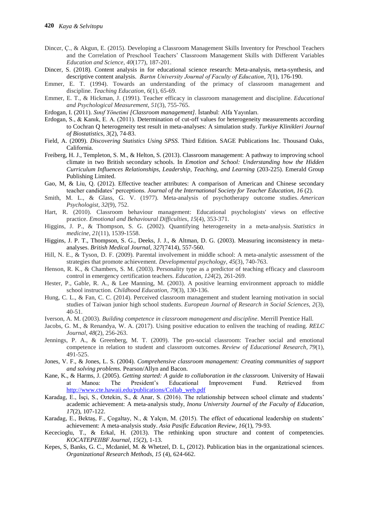- Dincer, Ç., & Akgun, E. (2015). Developing a Classroom Management Skills Inventory for Preschool Teachers and the Correlation of Preschool Teachers' Classroom Management Skills with Different Variables *Education and Science*, *40*(177), 187-201.
- Dincer, S. (2018). Content analysis in for educational science research: Meta-analysis, meta-synthesis, and descriptive content analysis. *Bartın University Journal of Faculty of Education, 7*(1), 176-190.
- Emmer, E. T. (1994). Towards an understanding of the primacy of classroom management and discipline. *Teaching Education*, *6*(1), 65-69.
- Emmer, E. T., & Hickman, J. (1991). Teacher efficacy in classroom management and discipline. *Educational and Psychological Measurement*, *51*(3), 755-765.
- Erdogan, I. (2011). *Sınıf Yönetimi [Classroom management].* İstanbul: Alfa Yayınları.
- Erdogan, S., & Kanık, E. A. (2011). Determination of cut-off values for heterogeneity measurements according to Cochran Q heterogeneity test result in meta-analyses: A simulation study. *Turkiye Klinikleri Journal of Biostatistics*, *3*(2), 74-83.
- Field, A. (2009). *Discovering Statistics Using SPSS.* Third Edition. SAGE Publications Inc. Thousand Oaks, California.
- Freiberg, H. J., Templeton, S. M., & Helton, S. (2013). Classroom management: A pathway to improving school climate in two British secondary schools. In *Emotion and School: Understanding how the Hidden Curriculum Influences Relationships, Leadership, Teaching, and Learning* (203-225). Emerald Group Publishing Limited.
- Gao, M, & Liu, Q. (2012). Effective teacher attributes: A comparison of American and Chinese secondary teacher candidates' perceptions. *Journal of the International Society for Teacher Education, 16* (2).
- Smith, M. L., & Glass, G. V. (1977). Meta-analysis of psychotherapy outcome studies. *American Psychologist*, *32*(9), 752.
- Hart, R. (2010). Classroom behaviour management: Educational psychologists' views on effective practice. *Emotional and Behavioural Difficulties*, *15*(4), 353-371.
- Higgins, J. P., & Thompson, S. G. (2002). Quantifying heterogeneity in a meta-analysis. *Statistics in medicine*, *21*(11), 1539-1558.
- Higgins, J. P. T., Thompson, S. G., Deeks, J. J., & Altman, D. G. (2003). Measuring inconsistency in metaanalyses. *British Medical Journal, 327*(7414), 557-560.
- Hill, N. E., & Tyson, D. F. (2009). Parental involvement in middle school: A meta-analytic assessment of the strategies that promote achievement. *Developmental psychology*, *45*(3), 740-763.
- Henson, R. K., & Chambers, S. M. (2003). Personality type as a predictor of teaching efficacy and classroom control in emergency certification teachers. *Education*, *124*(2), 261-269.
- Hester, P., Gable, R. A., & Lee Manning, M. (2003). A positive learning environment approach to middle school instruction. *Childhood Education*, *79*(3), 130-136.
- Hung, C. L., & Fan, C. C. (2014). Perceived classroom management and student learning motivation in social studies of Taiwan junior high school students. *European Journal of Research in Social Sciences, 2*(3), 40-51.
- Iverson, A. M. (2003). *Building competence in classroom management and discipline*. Merrill Prentice Hall.
- Jacobs, G. M., & Renandya, W. A. (2017). Using positive education to enliven the teaching of reading. *RELC Journal*, *48*(2), 256-263.
- Jennings, P. A., & Greenberg, M. T. (2009). The pro-social classroom: Teacher social and emotional competence in relation to student and classroom outcomes. *Review of Educational Research*, *79*(1), 491-525.
- Jones, V. F., & Jones, L. S. (2004). *Comprehensive classroom management: Creating communities of support and solving problems.* Pearson/Allyn and Bacon.
- Kane, K., & Harms, J. (2005). *Getting started: A guide to collaboration in the classroom.* University of Hawaii at Manoa: The President's Educational Improvement Fund. Retrieved from [http://www.cte.hawaii.edu/publications/Collab\\_web.pdf](http://www.cte.hawaii.edu/publications/Collab_web.pdf)
- Karadag, E., İsçi, S., Oztekin, S., & Anar, S. (2016). The relationship between school climate and students' academic achievement: A meta-analysis study, *Inonu University Journal of the Faculty of Education, 17*(2), 107-122.
- Karadag, E., Bektaş, F., Çogaltay, N., & Yalçın, M. (2015). The effect of educational leadership on students' achievement: A meta-analysis study. *Asia Pasific Education Review, 16*(1), 79-93.
- Kececioglu, T., & Erkal, H. (2013). The rethinking upon structure and content of competencies*. KOCATEPEIIBFJournal, 15*(2), 1-13.
- Kepes, S, Banks, G. C., Mcdaniel, M. & Whetzel, D. L, (2012). Publication bias in the organizational sciences. *Organizational Research Methods, 15* (4), 624-662.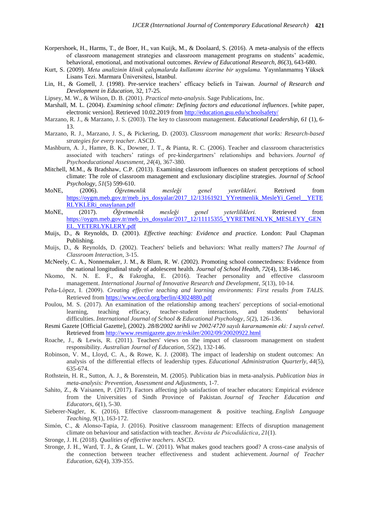- Korpershoek, H., Harms, T., de Boer, H., van Kuijk, M., & Doolaard, S. (2016). A meta-analysis of the effects of classroom management strategies and classroom management programs on students' academic, behavioral, emotional, and motivational outcomes. *Review of Educational Research, 86*(3), 643-680.
- Kurt, S. (2009). *Meta analizinin klinik çalışmalarda kullanımı üzerine bir uygulama.* Yayınlanmamış Yüksek Lisans Tezi. Marmara Üniversitesi, İstanbul.
- Lin, H., & Gomell, J. (1998). Pre-service teachers' efficacy beliefs in Taiwan. *Journal of Research and Development in Education,* 32, 17-25.

Lipsey, M. W., & Wilson, D. B. (2001). *Practical meta-analysis*. Sage Publications, Inc.

- Marshall, M. L. (2004). *Examining school climate: Defining factors and educational influences*. [white paper, electronic version]. Retrieved 10.02.2019 from<http://education.gsu.edu/schoolsafety/>
- Marzano, R. J., & Marzano, J. S. (2003). The key to classroom management. *Educational Leadership, 61* (1), 6- 13.
- Marzano, R. J., Marzano, J. S., & Pickering, D. (2003). *Classroom management that works: Research-based strategies for every teacher*. ASCD.
- Mashburn, A. J., Hamre, B. K., Downer, J. T., & Pianta, R. C. (2006). Teacher and classroom characteristics associated with teachers' ratings of pre-kindergartners' relationships and behaviors. *Journal of Psychoeducational Assessment*, *24*(4), 367-380.
- Mitchell, M.M., & Bradshaw, C.P. (2013). Examining classroom influences on student perceptions of school climate: The role of classroom management and exclusionary discipline strategies. *Journal of School Psychology, 51*(5) 599-610.
- MoNE, (2006). *Öğretmenlik mesleği genel yeterlikleri.* Retrived from [https://oygm.meb.gov.tr/meb\\_iys\\_dosyalar/2017\\_12/13161921\\_YYretmenlik\\_MesleYi\\_Genel\\_\\_YETE](https://oygm.meb.gov.tr/meb_iys_dosyalar/2017_12/13161921_YYretmenlik_MesleYi_Genel__YETERLYKLERi_onaylanan.pdf) [RLYKLERi\\_onaylanan.pdf](https://oygm.meb.gov.tr/meb_iys_dosyalar/2017_12/13161921_YYretmenlik_MesleYi_Genel__YETERLYKLERi_onaylanan.pdf)
- MoNE, (2017). *Öğretmenlik mesleği genel yeterlilikleri.* Retrieved from https://oygm.meb.gov.tr/meb\_iys\_dosyalar/2017\_12/11115355\_YYRETMENLYK\_MESLEYY\_GEN EL\_YETERLYKLERY.pdf
- Muijs, D., & Reynolds, D. (2001). *Effective teaching: Evidence and practice.* London: Paul Chapman Publishing.
- Muijs, D., & Reynolds, D. (2002). Teachers' beliefs and behaviors: What really matters? *The Journal of Classroom Interaction*, 3-15.
- McNeely, C. A., Nonnemaker, J. M., & Blum, R. W. (2002). Promoting school connectedness: Evidence from the national longitudinal study of adolescent health. *Journal of School Health, 72*(4), 138-146.
- Nkomo, N. N. E. F., & Fakrogha, E. (2016). Teacher personality and effective classroom management. *International Journal of Innovative Research and Development*, *5*(13), 10-14.
- Peña-López, I. (2009). *Creating effective teaching and learning environments: First results from TALIS.* Retrieved from<https://www.oecd.org/berlin/43024880.pdf>
- Poulou, M. S. (2017). An examination of the relationship among teachers' perceptions of social-emotional learning, teaching efficacy, teacher-student interactions, and students' behavioral difficulties. *International Journal of School & Educational Psychology*, *5*(2), 126-136.
- Resmi Gazete [Official Gazette], (2002). *28/8/2002 tarihli ve 2002/4720 sayılı kararnamenin eki: I sayılı cetvel*. Retrieved from<http://www.resmigazete.gov.tr/eskiler/2002/09/20020922.html>
- Roache, J., & Lewis, R. (2011). Teachers' views on the impact of classroom management on student responsibility. *Australian Journal of Education*, *55*(2), 132-146.
- Robinson, V. M., Lloyd, C. A., & Rowe, K. J. (2008). The impact of leadership on student outcomes: An analysis of the differential effects of leadership types. *Educational Administration Quarterly*, *44*(5), 635-674.
- Rothstein, H. R., Sutton, A. J., & Borenstein, M. (2005). Publication bias in meta-analysis. *Publication bias in meta-analysis: Prevention, Assessment and Adjustments*, 1-7.
- Sahito, Z., & Vaisanen, P. (2017). Factors affecting job satisfaction of teacher educators: Empirical evidence from the Universities of Sindh Province of Pakistan. *Journal of Teacher Education and Educators*, *6*(1), 5-30.
- Sieberer-Nagler, K. (2016). Effective classroom-management & positive teaching. *English Language Teaching*, *9*(1), 163-172.
- Simón, C., & Alonso-Tapia, J. (2016). Positive classroom management: Effects of disruption management climate on behaviour and satisfaction with teacher. *Revista de Psicodidáctica*, *21*(1).
- Stronge, J. H. (2018). *Qualities of effective teachers*. ASCD.
- Stronge, J. H., Ward, T. J., & Grant, L. W. (2011). What makes good teachers good? A cross-case analysis of the connection between teacher effectiveness and student achievement. *Journal of Teacher Education*, *62*(4), 339-355.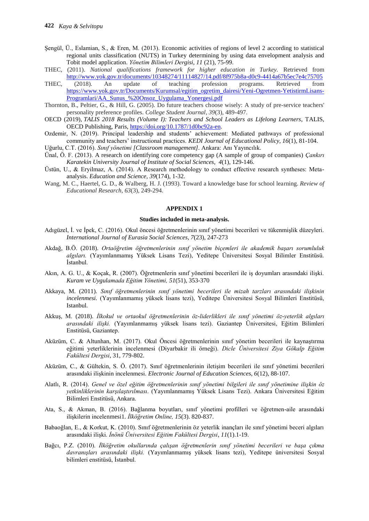- Şengül, Ü., Eslamian, S., & Eren, M. (2013). Economic activities of regions of level 2 according to statistical regional units classification (NUTS) in Turkey determining by using data envelopment analysis and Tobit model application. *Yönetim Bilimleri Dergisi*, *11* (21), 75-99.
- THEC, (2011). *National qualifications framework for higher education in Turkey.* Retrieved from <http://www.yok.gov.tr/documents/10348274/11114827/14.pdf/8f975b8a-d0c9-4414a67b5ec7e4c75705>
- THEC, (2018). An update of teaching profession programs. Retrieved from [https://www.yok.gov.tr/Documents/Kurumsal/egitim\\_ogretim\\_dairesi/Yeni-Ogretmen-YetistirmLisans-](https://www.yok.gov.tr/Documents/Kurumsal/egitim_ogretim_dairesi/Yeni-Ogretmen-YetistirmLisans-Programlari/AA_Sunus_%20Onsoz_Uygulama_Yonergesi.pdf)[Programlari/AA\\_Sunus\\_%20Onsoz\\_Uygulama\\_Yonergesi.pdf](https://www.yok.gov.tr/Documents/Kurumsal/egitim_ogretim_dairesi/Yeni-Ogretmen-YetistirmLisans-Programlari/AA_Sunus_%20Onsoz_Uygulama_Yonergesi.pdf)
- Thornton, B., Peltier, G., & Hill, G. (2005). Do future teachers choose wisely: A study of pre-service teachers' personality preference profiles. *College Student Journal*, *39*(3), 489-497.
- OECD (2019), *TALIS 2018 Results (Volume I): Teachers and School Leaders as Lifelong Learners*, TALIS, OECD Publishing, Paris, [https://doi.org/10.1787/1d0bc92a-en.](https://doi.org/10.1787/1d0bc92a-en)
- Ozdemir, N. (2019). Principal leadership and students' achievement: Mediated pathways of professional community and teachers' instructional practices. *KEDI Journal of Educational Policy, 16*(1), 81-104.
- Uğurlu, C.T. (2016). *Sınıf yönetimi [Classroom management].* Ankara: Anı Yayıncılık.
- Ünal, Ö. F. (2013). A research on identifying core competency gap (A sample of group of companies) *Çankırı Karatekin University Journal of Institute of Social Sciences, 4*(1), 129-146.
- Üstün, U., & Eryilmaz, A. (2014). A Research methodology to conduct effective research syntheses: Metaanalysis. *Education and Science, 39*(174), 1-32.
- Wang, M. C., Haertel, G. D., & Walberg, H. J. (1993). Toward a knowledge base for school learning. *Review of Educational Research*, *63*(3), 249-294.

#### **APPENDIX 1**

#### **Studies included in meta-analysis.**

- Adıgüzel, İ. ve İpek, C. (2016). Okul öncesi öğretmenlerinin sınıf yönetimi becerileri ve tükenmişlik düzeyleri. *International Journal of Eurasia Social Sciences*, *7*(23), 247-273
- Akdağ, B.Ö. (2018). *Ortaöğretim öğretmenlerinin sınıf yönetim biçemleri ile akademik başarı sorumluluk algıları.* (Yayımlanmamış Yüksek Lisans Tezi), Yeditepe Üniversitesi Sosyal Bilimler Enstitüsü. İstanbul.
- Akın, A. G. U., & Koçak, R. (2007). Öğretmenlerin sınıf yönetimi becerileri ile iş doyumları arasındaki ilişki. *Kuram ve Uygulamada Eğitim Yönetimi, 51*(51), 353-370
- Akkaya, M. (2011). *Sınıf öğretmenlerinin sınıf yönetimi becerileri ile mizah tarzları arasındaki ilişkinin incelenmesi.* (Yayımlanmamış yüksek lisans tezi), Yeditepe Üniversitesi Sosyal Bilimleri Enstitüsü, Istanbul.
- Akkuş, M. (2018). *İlkokul ve ortaokul öğretmenlerinin öz-liderlikleri ile sınıf yönetimi öz-yeterlik algıları arasındaki ilişki.* (Yayımlanmamış yüksek lisans tezi). Gaziantep Üniversitesi, Eğitim Bilimleri Enstitüsü, Gaziantep.
- Aküzüm, C. & Altunhan, M. (2017). Okul Öncesi öğretmenlerinin sınıf yönetim becerileri ile kaynaştırma eğitimi yeterliklerinin incelenmesi (Diyarbakir ili örneği). *Dicle Üniversitesi Ziya Gökalp Eğitim Fakültesi Dergisi*, 31, 779-802.
- Aküzüm, C., & Gültekin, S. Ö. (2017). Sınıf öğretmenlerinin iletişim becerileri ile sınıf yönetimi becerileri arasındaki ilişkinin incelenmesi. *Electronic Journal of Education Sciences, 6*(12), 88-107.
- Alatlı, R. (2014). *Genel ve özel eğitim öğretmenlerinin sınıf yönetimi bilgileri ile sınıf yönetimine ilişkin öz yetkinliklerinin karşılaştırılması*. (Yayımlanmamış Yüksek Lisans Tezi). Ankara Üniversitesi Eğitim Bilimleri Enstitüsü, Ankara.
- Ata, S., & Akman, B. (2016). Bağlanma boyutları, sınıf yönetimi profilleri ve öğretmen-aile arasındaki ilişkilerin incelenmesi1. *İlköğretim Online, 15*(3). 820-837.
- Babaoğlan, E., & Korkut, K. (2010). Sınıf öğretmenlerinin öz yeterlik inançları ile sınıf yönetimi beceri algıları arasındaki ilişki. *İnönü Üniversitesi Eğitim Fakültesi Dergisi*, *11*(1).1-19.
- Bağcı, P.Z. (2010). *İlköğretim okullarında çalışan öğretmenlerin sınıf yönetimi becerileri ve başa çıkma davranışları arasındaki ilişki.* (Yayımlanmamış yüksek lisans tezi), Yeditepe üniversitesi Sosyal bilimleri enstitüsü, İstanbul.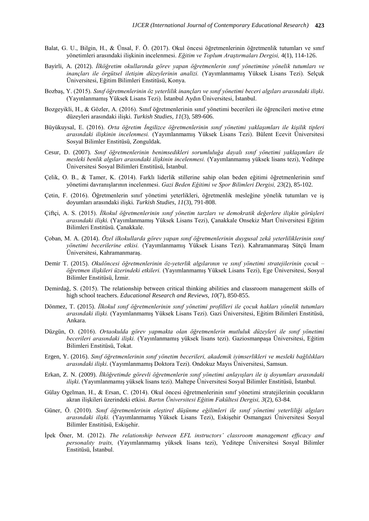- Balat, G. U., Bilgin, H., & Ünsal, F. Ö. (2017). Okul öncesi öğretmenlerinin öğretmenlik tutumları ve sınıf yönetimleri arasındaki ilişkinin incelenmesi. *Eğitim ve Toplum Araştırmaları Dergisi,* 4(1), 114-126.
- Bayirli, A. (2012). *İlköğretim okullarında görev yapan öğretmenlerin sınıf yönetimine yönelik tutumları ve inançları ile örgütsel iletişim düzeylerinin analizi.* (Yayımlanmamış Yüksek Lisans Tezi). Selçuk Üniversitesi, Eğitim Bilimleri Enstitüsü, Konya.
- Bozbaş, Y. (2015). *Sınıf öğretmenlerinin öz yeterlilik inançları ve sınıf yönetimi beceri algıları arasındaki ilişki*. (Yayınlanmamış Yüksek Lisans Tezi). İstanbul Aydın Üniversitesi, İstanbul.
- Bozgeyikli, H., & Gözler, A. (2016). Sınıf öğretmenlerinin sınıf yönetimi becerileri ile öğrencileri motive etme düzeyleri arasındaki ilişki. *Turkish Studies, 11*(3), 589-606.
- Büyükuysal, E. (2016). *Orta öğretim İngilizce öğretmenlerinin sınıf yönetimi yaklaşımları ile kişilik tipleri arasındaki ilişkinin incelenmesi.* (Yayımlanmamış Yüksek Lisans Tezi). Bülent Ecevit Üniversitesi Sosyal Bilimler Enstitüsü, Zonguldak.
- Cesur, D. (2007). *Sınıf öğretmenlerinin benimsedikleri sorumluluğa dayalı sınıf yönetimi yaklaşımları ile mesleki benlik algıları arasındaki ilişkinin incelenmesi.* (Yayımlanmamış yüksek lisans tezi), Yeditepe Üniversitesi Sosyal Bilimleri Enstitüsü, İstanbul.
- Çelik, O. B., & Tamer, K. (2014). Farklı liderlik stillerine sahip olan beden eğitimi öğretmenlerinin sınıf yönetimi davranışlarının incelenmesi. *Gazi Beden Eğitimi ve Spor Bilimleri Dergisi, 23*(2), 85-102.
- Çetin, F. (2016). Öğretmenlerin sınıf yönetimi yeterlikleri, öğretmenlik mesleğine yönelik tutumları ve iş doyumları arasındaki ilişki*. Turkish Studies, 11*(3), 791-808.
- Çiftçi, A. S. (2015). *İlkokul öğretmenlerinin sınıf yönetim tarzları ve demokratik değerlere ilişkin görüşleri arasındaki ilişki.* (Yayımlanmamış Yüksek Lisans Tezi), Çanakkale Onsekiz Mart Üniversitesi Eğitim Bilimleri Enstitüsü. Çanakkale.
- Çoban, M. A. (2014). *Özel ilkokullarda görev yapan sınıf öğretmenlerinin duygusal zekâ yeterliliklerinin sınıf yönetimi becerilerine etkisi.* (Yayımlanmamış Yüksek Lisans Tezi). Kahramanmaraş Sütçü İmam Üniversitesi, Kahramanmaraş.
- Demir T. (2015). *Okulöncesi öğretmenlerinin öz-yeterlik algılarının ve sınıf yönetimi stratejilerinin çocuk – öğretmen ilişkileri üzerindeki etkileri.* (Yayımlanmamış Yüksek Lisans Tezi), Ege Üniversitesi, Sosyal Bilimler Enstitüsü, İzmir.
- Demirdağ, S. (2015). The relationship between critical thinking abilities and classroom management skills of high school teachers. *Educational Research and Reviews, 10*(7), 850-855.
- Dönmez, T. (2015). *İlkokul sınıf öğretmenlerinin sınıf yönetimi profilleri ile çocuk hakları yönelik tutumları arasındaki ilişki.* (Yayımlanmamış Yüksek Lisans Tezi). Gazi Üniversitesi, Eğitim Bilimleri Enstitüsü, Ankara.
- Düzgün, O. (2016). *Ortaokulda görev yapmakta olan öğretmenlerin mutluluk düzeyleri ile sınıf yönetimi becerileri arasındaki ilişki.* (Yayınlanmamış yüksek lisans tezi). Gaziosmanpaşa Üniversitesi, Eğitim Bilimleri Enstitüsü, Tokat.
- Ergen, Y. (2016). *Sınıf öğretmenlerinin sınıf yönetim becerileri, akademik iyimserlikleri ve mesleki bağlılıkları arasındaki ilişki.* (Yayımlanmamış Doktora Tezi). Ondokuz Mayıs Üniversitesi, Samsun.
- Erkan, Z. N. (2009). *İlköğretimde görevli öğretmenlerin sınıf yönetimi anlayışları ile iş doyumları arasındaki ilişki.* (Yayımlanmamış yüksek lisans tezi). Maltepe Üniversitesi Sosyal Bilimler Enstitüsü, İstanbul.
- Gülay Ogelman, H., & Ersan, C. (2014). Okul öncesi öğretmenlerinin sınıf yönetimi stratejilerinin çocukların akran ilişkileri üzerindeki etkisi. *Bartın Üniversitesi Eğitim Fakültesi Dergisi, 3*(2), 63-84.
- Güner, Ö. (2010). *Sınıf öğretmenlerinin eleştirel düşünme eğilimleri ile sınıf yönetimi yeterliliği algıları arasındaki ilişki.* (Yayımlanmamış Yüksek Lisans Tezi), Eskişehir Osmangazi Üniversitesi Sosyal Bilimler Enstitüsü, Eskişehir.
- İpek Öner, M. (2012). *The relationship between EFL instructors' classroom management effıcacy and personalıty traits,* (Yayımlanmamış yüksek lisans tezi), Yeditepe Üniversitesi Sosyal Bilimler Enstitüsü, İstanbul.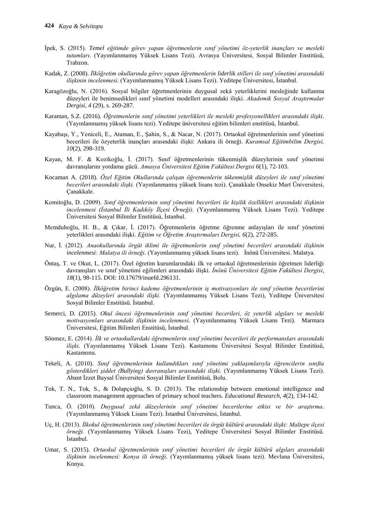- İpek, S. (2015). *Temel eğitimde görev yapan öğretmenlerin sınıf yönetimi öz-yeterlik inançları ve mesleki tutumları.* (Yayımlanmamış Yüksek Lisans Tezi). Avrasya Üniversitesi, Sosyal Bilimler Enstitüsü, Trabzon.
- Kadak, Z. (2008). *İlköğretim okullarında görev yapan öğretmenlerin liderlik stilleri ile sınıf yönetimi arasındaki ilişkinin incelenmesi.* (Yayımlanmamış Yüksek Lisans Tezi). Yeditepe Üniversitesi, İstanbul.
- Karagözoğlu, N. (2016). Sosyal bilgiler öğretmenlerinin duygusal zekâ yeterliklerini mesleğinde kullanma düzeyleri ile benimsedikleri sınıf yönetimi modelleri arasındaki ilişki. *Akademik Sosyal Araştırmalar Dergisi, 4* (29), s. 269-287.
- Karaman, S.Z. (2016). *Öğretmenlerin sınıf yönetimi yeterlikleri ile mesleki profesyonellikleri arasındaki ilişki.* (Yayınlanmamış yüksek lisans tezi). Yeditepe üniversitesi eğitim bilimleri enstitüsü, İstanbul.
- Kayabaşı, Y., Yeniceli, E., Ataman, E., Şahin, S., & Nacar, N. (2017). Ortaokul öğretmenlerinin sınıf yönetimi becerileri ile özyeterlik inançları arasındaki ilişki: Ankara ili örneği. *Kuramsal Eğitimbilim Dergisi, 10*(2), 298-319.
- Kayan, M. F. & Kozikoğlu, İ. (2017). Sınıf öğretmenlerinin tükenmişlik düzeylerinin sınıf yönetimi davranışlarını yordama gücü. *Amasya Üniversitesi Eğitim Fakültesi Dergisi 6*(1), 72-103.
- Kocaman A. (2018). *Özel Eğitim Okullarında çalışan öğretmenlerin tükenmişlik düzeyleri ile sınıf yönetimi becerileri arasındaki ilişki.* (Yayınlanmamış yüksek lisans tezi). Çanakkale Onsekiz Mart Üniversitesi, Çanakkale.
- Komitoğlu, D. (2009). *Sınıf öğretmenlerinin sınıf yönetimi becerileri ile kişilik özellikleri arasındaki ilişkinin incelenmesi (İstanbul İli Kadıköy İlçesi Örneği).* (Yayımlanmamış Yüksek Lisans Tezi). Yeditepe Üniversitesi Sosyal Bilimler Enstitüsü, İstanbul.
- Memduhoğlu, H. B., & Çıkar, İ. (2017). Öğretmenlerin öğretme öğrenme anlayışları ile sınıf yönetimi yeterlikleri arasındaki ilişki. *Eğitim ve Öğretim Araştırmaları Dergisi, 6*(2), 272-285.
- Nur, İ. (2012). *Anaokullarında örgüt iklimi ile öğretmenlerin sınıf yönetimi becerileri arasındaki ilişkinin incelenmesi: Malatya ili örneği.* (Yayımlanmamış yüksek lisans tezi). İnönü Üniversitesi. Malatya.
- Öntaş, T. ve Okut, L. (2017). Özel öğretim kurumlarındaki ilk ve ortaokul öğretmenlerinin öğretmen liderliği davranışları ve sınıf yönetimi eğilimleri arasındaki ilişki. *İnönü Üniversitesi Eğitim Fakültesi Dergisi*, *18*(1), 98-115. DOI: 10.17679/inuefd.296131.
- Özgün, E. (2008). *İlköğretim birinci kademe öğretmenlerinin iş motivasyonları ile sınıf yönetim becerilerini algılama düzeyleri arasındaki ilişki.* (Yayımlanmamış Yüksek Lisans Tezi), Yeditepe Üniversitesi Sosyal Bilimler Enstitüsü. İstanbul.
- Semerci, D. (2015). *Okul öncesi öğretmenlerinin sınıf yönetimi becerileri, öz yeterlik algıları ve mesleki motivasyonları arasındaki ilişkinin incelenmesi.* (Yayımlanmamış Yüksek Lisans Tezi). Marmara Üniversitesi, Eğitim Bilimleri Enstitüsü, İstanbul.
- Sönmez, E. (2014). *İlk ve ortaokullardaki öğretmenlerin sınıf yönetimi becerileri ile performansları arasındaki ilişki.* (Yayınlanmamış Yüksek Lisans Tezi). Kastamonu Üniversitesi Sosyal Bilimler Enstitüsü, Kastamonu.
- Tekeli, A. (2010). *Sınıf öğretmenlerinin kullandıkları sınıf yönetimi yaklaşımlarıyla öğrencilerin sınıfta gösterdikleri şiddet (Bullying) davranışları arasındaki ilişki.* (Yayımlanmamış Yüksek Lisans Tezi). Abant İzzet Baysal Üniversitesi Sosyal Bilimler Enstitüsü, Bolu.
- Tok, T. N., Tok, S., & Dolapçioğlu, S. D. (2013). The relationship between emotional intelligence and classroom management approaches of primary school teachers. *Educational Research, 4*(2), 134-142.
- Tunca, Ö. (2010). *Duygusal zekâ düzeylerinin sınıf yönetimi becerilerine etkisi ve bir araştırma.* (Yayımlanmamış Yüksek Lisans Tezi). İstanbul Üniversitesi, İstanbul.
- Uç, H. (2013). *İlkokul öğretmenlerinin sınıf yönetimi becerileri ile örgüt kültürü arasındaki ilişki: Maltepe ilçesi örneği.* (Yayımlanmamış Yüksek Lisans Tezi), Yeditepe Üniversitesi Sosyal Bilimler Enstitüsü. İstanbul.
- Umar, S. (2015). *Ortaokul öğretmenlerinin sınıf yönetimi becerileri ile örgüt kültürü algıları arasındaki ilişkinin incelenmesi: Konya ili örneği.* (Yayımlanmamış yüksek lisans tezi). Mevlana Üniversitesi, Konya.